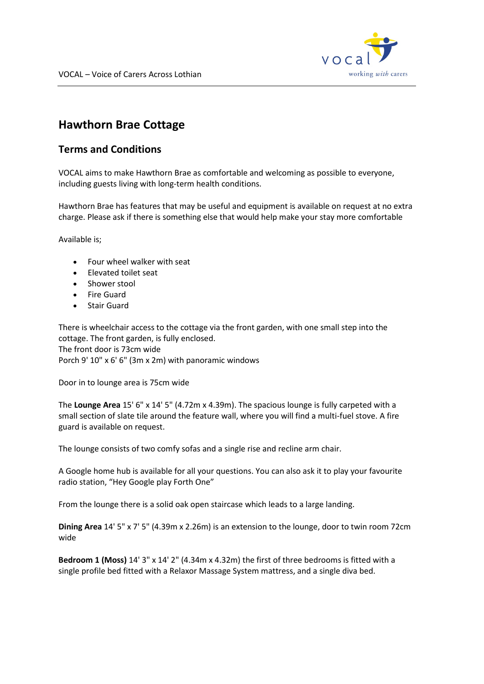

## **Hawthorn Brae Cottage**

## **Terms and Conditions**

VOCAL aims to make Hawthorn Brae as comfortable and welcoming as possible to everyone, including guests living with long-term health conditions.

Hawthorn Brae has features that may be useful and equipment is available on request at no extra charge. Please ask if there is something else that would help make your stay more comfortable

Available is;

- Four wheel walker with seat
- Elevated toilet seat
- Shower stool
- Fire Guard
- **Stair Guard**

There is wheelchair access to the cottage via the front garden, with one small step into the cottage. The front garden, is fully enclosed. The front door is 73cm wide Porch 9' 10" x 6' 6" (3m x 2m) with panoramic windows

Door in to lounge area is 75cm wide

The **Lounge Area** 15' 6" x 14' 5" (4.72m x 4.39m). The spacious lounge is fully carpeted with a small section of slate tile around the feature wall, where you will find a multi-fuel stove. A fire guard is available on request.

The lounge consists of two comfy sofas and a single rise and recline arm chair.

A Google home hub is available for all your questions. You can also ask it to play your favourite radio station, "Hey Google play Forth One"

From the lounge there is a solid oak open staircase which leads to a large landing.

**Dining Area** 14' 5" x 7' 5" (4.39m x 2.26m) is an extension to the lounge, door to twin room 72cm wide

**Bedroom 1 (Moss)** 14' 3" x 14' 2" (4.34m x 4.32m) the first of three bedrooms is fitted with a single profile bed fitted with a Relaxor Massage System mattress, and a single diva bed.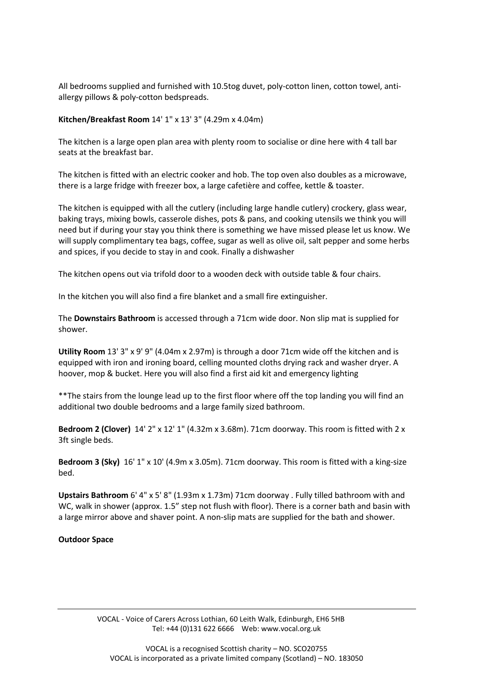All bedrooms supplied and furnished with 10.5tog duvet, poly-cotton linen, cotton towel, antiallergy pillows & poly-cotton bedspreads.

## **Kitchen/Breakfast Room** 14' 1" x 13' 3" (4.29m x 4.04m)

The kitchen is a large open plan area with plenty room to socialise or dine here with 4 tall bar seats at the breakfast bar.

The kitchen is fitted with an electric cooker and hob. The top oven also doubles as a microwave, there is a large fridge with freezer box, a large cafetière and coffee, kettle & toaster.

The kitchen is equipped with all the cutlery (including large handle cutlery) crockery, glass wear, baking trays, mixing bowls, casserole dishes, pots & pans, and cooking utensils we think you will need but if during your stay you think there is something we have missed please let us know. We will supply complimentary tea bags, coffee, sugar as well as olive oil, salt pepper and some herbs and spices, if you decide to stay in and cook. Finally a dishwasher

The kitchen opens out via trifold door to a wooden deck with outside table & four chairs.

In the kitchen you will also find a fire blanket and a small fire extinguisher.

The **Downstairs Bathroom** is accessed through a 71cm wide door. Non slip mat is supplied for shower.

**Utility Room** 13' 3" x 9' 9" (4.04m x 2.97m) is through a door 71cm wide off the kitchen and is equipped with iron and ironing board, celling mounted cloths drying rack and washer dryer. A hoover, mop & bucket. Here you will also find a first aid kit and emergency lighting

\*\*The stairs from the lounge lead up to the first floor where off the top landing you will find an additional two double bedrooms and a large family sized bathroom.

**Bedroom 2 (Clover)**  14' 2" x 12' 1" (4.32m x 3.68m). 71cm doorway. This room is fitted with 2 x 3ft single beds.

**Bedroom 3 (Sky)**  16' 1" x 10' (4.9m x 3.05m). 71cm doorway. This room is fitted with a king-size bed.

**Upstairs Bathroom** 6' 4" x 5' 8" (1.93m x 1.73m) 71cm doorway . Fully tilled bathroom with and WC, walk in shower (approx. 1.5" step not flush with floor). There is a corner bath and basin with a large mirror above and shaver point. A non-slip mats are supplied for the bath and shower. 

## **Outdoor Space**

VOCAL - Voice of Carers Across Lothian, 60 Leith Walk, Edinburgh, EH6 5HB Tel: +44 (0)131 622 6666 Web: www.vocal.org.uk